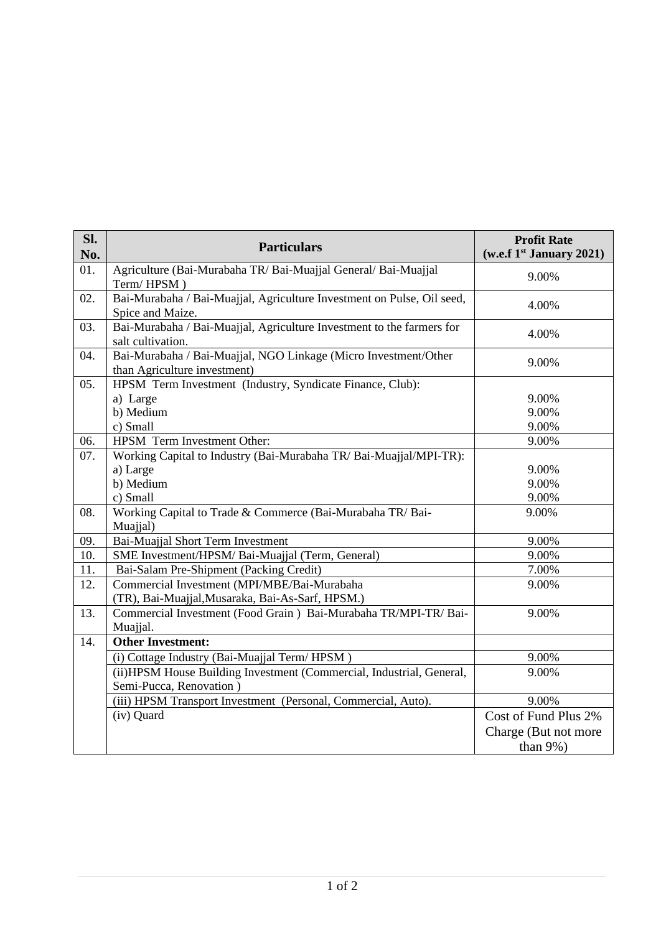| SI.<br>No. | <b>Particulars</b>                                                                                      | <b>Profit Rate</b><br>(w.e.f 1st January 2021) |
|------------|---------------------------------------------------------------------------------------------------------|------------------------------------------------|
| 01.        | Agriculture (Bai-Murabaha TR/ Bai-Muajjal General/ Bai-Muajjal<br>Term/HPSM)                            | 9.00%                                          |
| 02.        | Bai-Murabaha / Bai-Muajjal, Agriculture Investment on Pulse, Oil seed,<br>Spice and Maize.              | 4.00%                                          |
| 03.        | Bai-Murabaha / Bai-Muajjal, Agriculture Investment to the farmers for<br>salt cultivation.              | 4.00%                                          |
| 04.        | Bai-Murabaha / Bai-Muajjal, NGO Linkage (Micro Investment/Other<br>than Agriculture investment)         | 9.00%                                          |
| 05.        | HPSM Term Investment (Industry, Syndicate Finance, Club):<br>a) Large<br>b) Medium<br>c) Small          | 9.00%<br>9.00%<br>9.00%                        |
| 06.        | HPSM Term Investment Other:                                                                             | 9.00%                                          |
| 07.        | Working Capital to Industry (Bai-Murabaha TR/ Bai-Muajjal/MPI-TR):<br>a) Large<br>b) Medium<br>c) Small | 9.00%<br>9.00%<br>9.00%                        |
| 08.        | Working Capital to Trade & Commerce (Bai-Murabaha TR/Bai-<br>Muajjal)                                   | 9.00%                                          |
| 09.        | Bai-Muajjal Short Term Investment                                                                       | 9.00%                                          |
| 10.        | SME Investment/HPSM/ Bai-Muajjal (Term, General)                                                        | 9.00%                                          |
| 11.        | Bai-Salam Pre-Shipment (Packing Credit)                                                                 | 7.00%                                          |
| 12.        | Commercial Investment (MPI/MBE/Bai-Murabaha<br>(TR), Bai-Muajjal, Musaraka, Bai-As-Sarf, HPSM.)         | 9.00%                                          |
| 13.        | Commercial Investment (Food Grain) Bai-Murabaha TR/MPI-TR/ Bai-<br>Muajjal.                             | 9.00%                                          |
| 14.        | <b>Other Investment:</b>                                                                                |                                                |
|            | (i) Cottage Industry (Bai-Muajjal Term/HPSM)                                                            | 9.00%                                          |
|            | (ii) HPSM House Building Investment (Commercial, Industrial, General,<br>Semi-Pucca, Renovation)        | 9.00%                                          |
|            | (iii) HPSM Transport Investment (Personal, Commercial, Auto).                                           | 9.00%                                          |
|            | (iv) Quard                                                                                              | Cost of Fund Plus 2%                           |
|            |                                                                                                         | Charge (But not more                           |
|            |                                                                                                         | than $9\%$ )                                   |